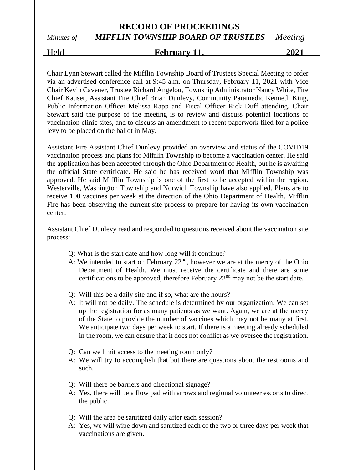# Held **February 11, 2021**

Chair Lynn Stewart called the Mifflin Township Board of Trustees Special Meeting to order via an advertised conference call at 9:45 a.m. on Thursday, February 11, 2021 with Vice Chair Kevin Cavener, Trustee Richard Angelou, Township Administrator Nancy White, Fire Chief Kauser, Assistant Fire Chief Brian Dunlevy, Community Paramedic Kenneth King, Public Information Officer Melissa Rapp and Fiscal Officer Rick Duff attending. Chair Stewart said the purpose of the meeting is to review and discuss potential locations of vaccination clinic sites, and to discuss an amendment to recent paperwork filed for a police levy to be placed on the ballot in May.

Assistant Fire Assistant Chief Dunlevy provided an overview and status of the COVID19 vaccination process and plans for Mifflin Township to become a vaccination center. He said the application has been accepted through the Ohio Department of Health, but he is awaiting the official State certificate. He said he has received word that Mifflin Township was approved. He said Mifflin Township is one of the first to be accepted within the region. Westerville, Washington Township and Norwich Township have also applied. Plans are to receive 100 vaccines per week at the direction of the Ohio Department of Health. Mifflin Fire has been observing the current site process to prepare for having its own vaccination center.

Assistant Chief Dunlevy read and responded to questions received about the vaccination site process:

- Q: What is the start date and how long will it continue?
- A: We intended to start on February  $22<sup>nd</sup>$ , however we are at the mercy of the Ohio Department of Health. We must receive the certificate and there are some certifications to be approved, therefore February 22nd may not be the start date.
- Q: Will this be a daily site and if so, what are the hours?
- A: It will not be daily. The schedule is determined by our organization. We can set up the registration for as many patients as we want. Again, we are at the mercy of the State to provide the number of vaccines which may not be many at first. We anticipate two days per week to start. If there is a meeting already scheduled in the room, we can ensure that it does not conflict as we oversee the registration.
- Q: Can we limit access to the meeting room only?
- A: We will try to accomplish that but there are questions about the restrooms and such.
- Q: Will there be barriers and directional signage?
- A: Yes, there will be a flow pad with arrows and regional volunteer escorts to direct the public.
- Q: Will the area be sanitized daily after each session?
- A: Yes, we will wipe down and sanitized each of the two or three days per week that vaccinations are given.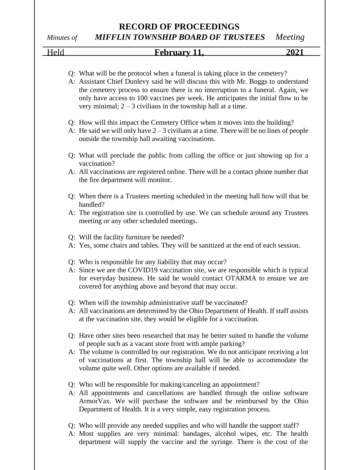# **RECORD OF PROCEEDINGS**

*Minutes of MIFFLIN TOWNSHIP BOARD OF TRUSTEES Meeting*

| Held | February 11,                                                                                                                                                                                                                                                                                                                                                                                                | 2021 |
|------|-------------------------------------------------------------------------------------------------------------------------------------------------------------------------------------------------------------------------------------------------------------------------------------------------------------------------------------------------------------------------------------------------------------|------|
|      | Q: What will be the protocol when a funeral is taking place in the cemetery?<br>A: Assistant Chief Dunlevy said he will discuss this with Mr. Boggs to understand<br>the cemetery process to ensure there is no interruption to a funeral. Again, we<br>only have access to 100 vaccines per week. He anticipates the initial flow to be<br>very minimal; $2 - 3$ civilians in the township hall at a time. |      |
|      | Q: How will this impact the Cemetery Office when it moves into the building?<br>A: He said we will only have $2-3$ civilians at a time. There will be no lines of people<br>outside the township hall awaiting vaccinations.                                                                                                                                                                                |      |
|      | Q: What will preclude the public from calling the office or just showing up for a<br>vaccination?<br>A: All vaccinations are registered online. There will be a contact phone number that                                                                                                                                                                                                                   |      |
|      | the fire department will monitor.<br>Q: When there is a Trustees meeting scheduled in the meeting hall how will that be<br>handled?                                                                                                                                                                                                                                                                         |      |
|      | A: The registration site is controlled by use. We can schedule around any Trustees<br>meeting or any other scheduled meetings.<br>Q: Will the facility furniture be needed?                                                                                                                                                                                                                                 |      |
|      | A: Yes, some chairs and tables. They will be sanitized at the end of each session.                                                                                                                                                                                                                                                                                                                          |      |
|      | Q: Who is responsible for any liability that may occur?<br>A: Since we are the COVID19 vaccination site, we are responsible which is typical<br>for everyday business. He said he would contact OTARMA to ensure we are<br>covered for anything above and beyond that may occur.                                                                                                                            |      |
|      | Q: When will the township administrative staff be vaccinated?<br>A: All vaccinations are determined by the Ohio Department of Health. If staff assists<br>at the vaccination site, they would be eligible for a vaccination.                                                                                                                                                                                |      |
|      | Q: Have other sites been researched that may be better suited to handle the volume<br>of people such as a vacant store front with ample parking?<br>A: The volume is controlled by our registration. We do not anticipate receiving a lot<br>of vaccinations at first. The township hall will be able to accommodate the<br>volume quite well. Other options are available if needed.                       |      |
|      | Q: Who will be responsible for making/canceling an appointment?<br>A: All appointments and cancellations are handled through the online software<br>ArmorVax. We will purchase the software and be reimbursed by the Ohio<br>Department of Health. It is a very simple, easy registration process.                                                                                                          |      |
|      | Q: Who will provide any needed supplies and who will handle the support staff?                                                                                                                                                                                                                                                                                                                              |      |

A: Most supplies are very minimal: bandages, alcohol wipes, etc. The health department will supply the vaccine and the syringe. There is the cost of the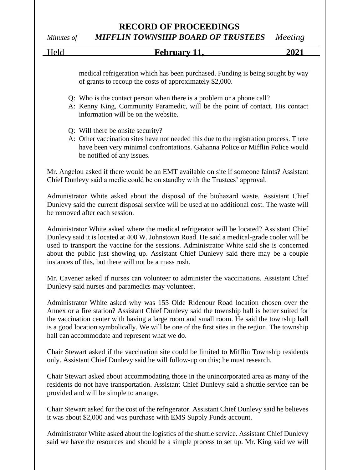Held **February 11, 2021**

medical refrigeration which has been purchased. Funding is being sought by way of grants to recoup the costs of approximately \$2,000.

- Q: Who is the contact person when there is a problem or a phone call?
- A: Kenny King, Community Paramedic, will be the point of contact. His contact information will be on the website.
- Q: Will there be onsite security?
- A: Other vaccination sites have not needed this due to the registration process. There have been very minimal confrontations. Gahanna Police or Mifflin Police would be notified of any issues.

Mr. Angelou asked if there would be an EMT available on site if someone faints? Assistant Chief Dunlevy said a medic could be on standby with the Trustees' approval.

Administrator White asked about the disposal of the biohazard waste. Assistant Chief Dunlevy said the current disposal service will be used at no additional cost. The waste will be removed after each session.

Administrator White asked where the medical refrigerator will be located? Assistant Chief Dunlevy said it is located at 400 W. Johnstown Road. He said a medical-grade cooler will be used to transport the vaccine for the sessions. Administrator White said she is concerned about the public just showing up. Assistant Chief Dunlevy said there may be a couple instances of this, but there will not be a mass rush.

Mr. Cavener asked if nurses can volunteer to administer the vaccinations. Assistant Chief Dunlevy said nurses and paramedics may volunteer.

Administrator White asked why was 155 Olde Ridenour Road location chosen over the Annex or a fire station? Assistant Chief Dunlevy said the township hall is better suited for the vaccination center with having a large room and small room. He said the township hall is a good location symbolically. We will be one of the first sites in the region. The township hall can accommodate and represent what we do.

Chair Stewart asked if the vaccination site could be limited to Mifflin Township residents only. Assistant Chief Dunlevy said he will follow-up on this; he must research.

Chair Stewart asked about accommodating those in the unincorporated area as many of the residents do not have transportation. Assistant Chief Dunlevy said a shuttle service can be provided and will be simple to arrange.

Chair Stewart asked for the cost of the refrigerator. Assistant Chief Dunlevy said he believes it was about \$2,000 and was purchase with EMS Supply Funds account.

Administrator White asked about the logistics of the shuttle service. Assistant Chief Dunlevy said we have the resources and should be a simple process to set up. Mr. King said we will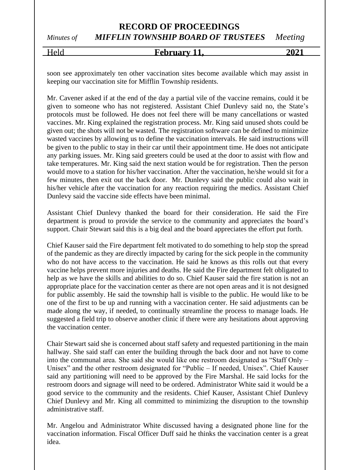## Held **February 11, 2021**

soon see approximately ten other vaccination sites become available which may assist in keeping our vaccination site for Mifflin Township residents.

Mr. Cavener asked if at the end of the day a partial vile of the vaccine remains, could it be given to someone who has not registered. Assistant Chief Dunlevy said no, the State's protocols must be followed. He does not feel there will be many cancellations or wasted vaccines. Mr. King explained the registration process. Mr. King said unused shots could be given out; the shots will not be wasted. The registration software can be defined to minimize wasted vaccines by allowing us to define the vaccination intervals. He said instructions will be given to the public to stay in their car until their appointment time. He does not anticipate any parking issues. Mr. King said greeters could be used at the door to assist with flow and take temperatures. Mr. King said the next station would be for registration. Then the person would move to a station for his/her vaccination. After the vaccination, he/she would sit for a few minutes, then exit out the back door. Mr. Dunlevy said the public could also wait in his/her vehicle after the vaccination for any reaction requiring the medics. Assistant Chief Dunlevy said the vaccine side effects have been minimal.

Assistant Chief Dunlevy thanked the board for their consideration. He said the Fire department is proud to provide the service to the community and appreciates the board's support. Chair Stewart said this is a big deal and the board appreciates the effort put forth.

Chief Kauser said the Fire department felt motivated to do something to help stop the spread of the pandemic as they are directly impacted by caring for the sick people in the community who do not have access to the vaccination. He said he knows as this rolls out that every vaccine helps prevent more injuries and deaths. He said the Fire department felt obligated to help as we have the skills and abilities to do so. Chief Kauser said the fire station is not an appropriate place for the vaccination center as there are not open areas and it is not designed for public assembly. He said the township hall is visible to the public. He would like to be one of the first to be up and running with a vaccination center. He said adjustments can be made along the way, if needed, to continually streamline the process to manage loads. He suggested a field trip to observe another clinic if there were any hesitations about approving the vaccination center.

Chair Stewart said she is concerned about staff safety and requested partitioning in the main hallway. She said staff can enter the building through the back door and not have to come into the communal area. She said she would like one restroom designated as "Staff Only – Unisex" and the other restroom designated for "Public – If needed, Unisex". Chief Kauser said any partitioning will need to be approved by the Fire Marshal. He said locks for the restroom doors and signage will need to be ordered. Administrator White said it would be a good service to the community and the residents. Chief Kauser, Assistant Chief Dunlevy Chief Dunlevy and Mr. King all committed to minimizing the disruption to the township administrative staff.

Mr. Angelou and Administrator White discussed having a designated phone line for the vaccination information. Fiscal Officer Duff said he thinks the vaccination center is a great idea.